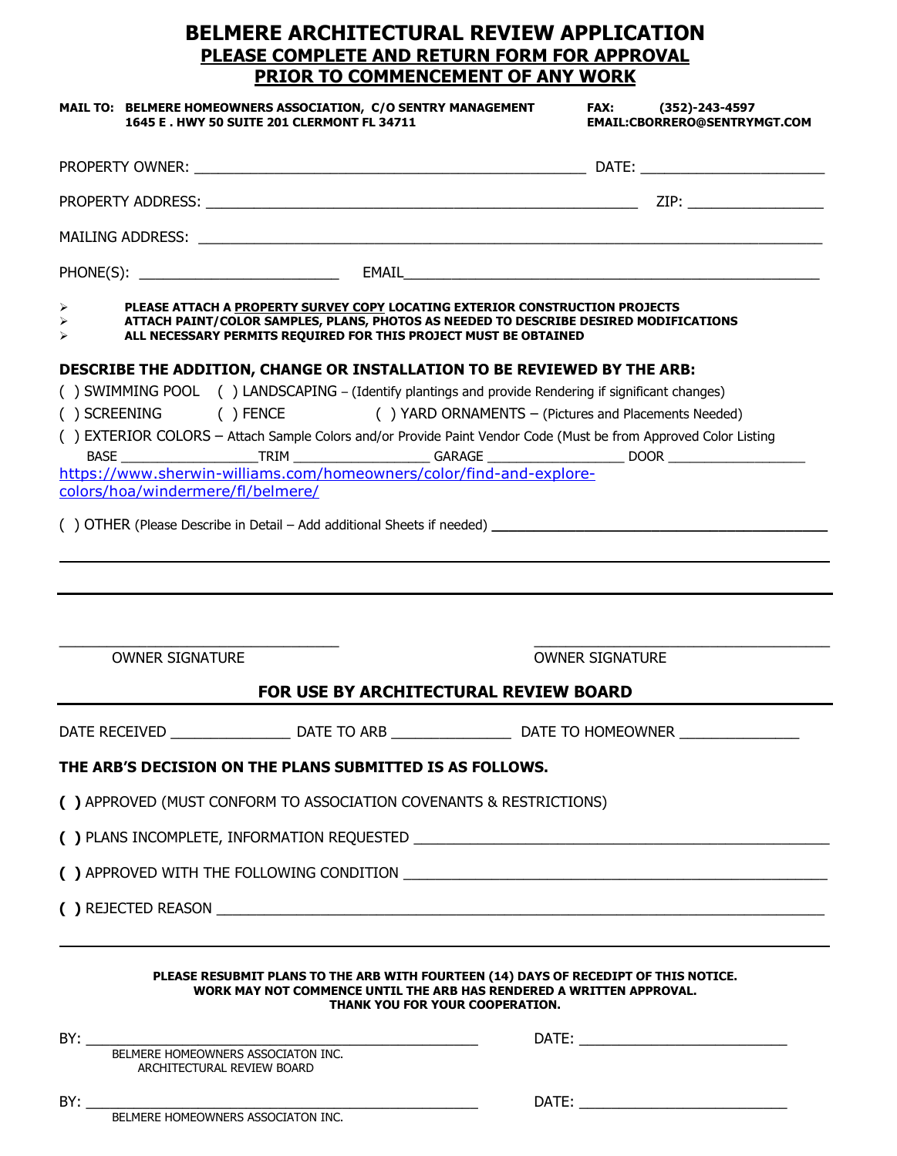## **BELMERE ARCHITECTURAL REVIEW APPLICATION PLEASE COMPLETE AND RETURN FORM FOR APPROVAL PRIOR TO COMMENCEMENT OF ANY WORK**

|                                                                  | MAIL TO: BELMERE HOMEOWNERS ASSOCIATION, C/O SENTRY MANAGEMENT<br>1645 E. HWY 50 SUITE 201 CLERMONT FL 34711 | FAX: (352)-243-4597<br>EMAIL:CBORRERO@SENTRYMGT.COM                                                                                                                   |
|------------------------------------------------------------------|--------------------------------------------------------------------------------------------------------------|-----------------------------------------------------------------------------------------------------------------------------------------------------------------------|
|                                                                  |                                                                                                              |                                                                                                                                                                       |
|                                                                  |                                                                                                              |                                                                                                                                                                       |
|                                                                  |                                                                                                              |                                                                                                                                                                       |
|                                                                  |                                                                                                              |                                                                                                                                                                       |
| ➤<br>↘                                                           | ALL NECESSARY PERMITS REQUIRED FOR THIS PROJECT MUST BE OBTAINED                                             | PLEASE ATTACH A PROPERTY SURVEY COPY LOCATING EXTERIOR CONSTRUCTION PROJECTS<br>ATTACH PAINT/COLOR SAMPLES, PLANS, PHOTOS AS NEEDED TO DESCRIBE DESIRED MODIFICATIONS |
|                                                                  |                                                                                                              | DESCRIBE THE ADDITION, CHANGE OR INSTALLATION TO BE REVIEWED BY THE ARB:                                                                                              |
|                                                                  |                                                                                                              | () SWIMMING POOL () LANDSCAPING - (Identify plantings and provide Rendering if significant changes)                                                                   |
|                                                                  |                                                                                                              | () SCREENING () FENCE () YARD ORNAMENTS - (Pictures and Placements Needed)                                                                                            |
|                                                                  |                                                                                                              | () EXTERIOR COLORS - Attach Sample Colors and/or Provide Paint Vendor Code (Must be from Approved Color Listing                                                       |
|                                                                  | https://www.sherwin-williams.com/homeowners/color/find-and-explore-                                          |                                                                                                                                                                       |
| colors/hoa/windermere/fl/belmere/                                |                                                                                                              |                                                                                                                                                                       |
|                                                                  |                                                                                                              |                                                                                                                                                                       |
|                                                                  |                                                                                                              |                                                                                                                                                                       |
| <b>OWNER SIGNATURE</b>                                           |                                                                                                              | <b>OWNER SIGNATURE</b>                                                                                                                                                |
|                                                                  | FOR USE BY ARCHITECTURAL REVIEW BOARD                                                                        |                                                                                                                                                                       |
|                                                                  |                                                                                                              |                                                                                                                                                                       |
|                                                                  | THE ARB'S DECISION ON THE PLANS SUBMITTED IS AS FOLLOWS.                                                     |                                                                                                                                                                       |
|                                                                  | () APPROVED (MUST CONFORM TO ASSOCIATION COVENANTS & RESTRICTIONS)                                           |                                                                                                                                                                       |
|                                                                  |                                                                                                              |                                                                                                                                                                       |
|                                                                  |                                                                                                              |                                                                                                                                                                       |
|                                                                  |                                                                                                              |                                                                                                                                                                       |
|                                                                  | THANK YOU FOR YOUR COOPERATION.                                                                              | PLEASE RESUBMIT PLANS TO THE ARB WITH FOURTEEN (14) DAYS OF RECEDIPT OF THIS NOTICE.<br>WORK MAY NOT COMMENCE UNTIL THE ARB HAS RENDERED A WRITTEN APPROVAL.          |
| BY:                                                              |                                                                                                              |                                                                                                                                                                       |
| BELMERE HOMEOWNERS ASSOCIATON INC.<br>ARCHITECTURAL REVIEW BOARD |                                                                                                              |                                                                                                                                                                       |
|                                                                  |                                                                                                              |                                                                                                                                                                       |
| BELMERE HOMEOWNERS ASSOCIATON INC.                               |                                                                                                              |                                                                                                                                                                       |